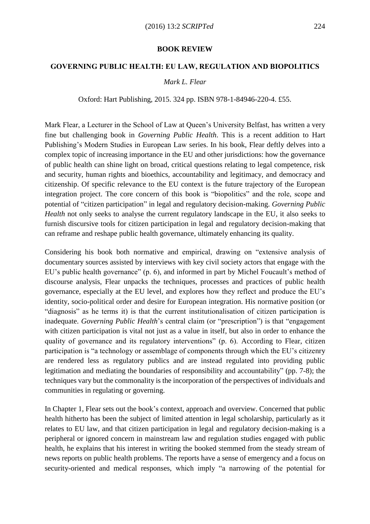## **BOOK REVIEW**

## **GOVERNING PUBLIC HEALTH: EU LAW, REGULATION AND BIOPOLITICS**

## *Mark L. Flear*

## Oxford: Hart Publishing, 2015. 324 pp. ISBN 978-1-84946-220-4. £55.

Mark Flear, a Lecturer in the School of Law at Queen's University Belfast, has written a very fine but challenging book in *Governing Public Health*. This is a recent addition to Hart Publishing's Modern Studies in European Law series. In his book, Flear deftly delves into a complex topic of increasing importance in the EU and other jurisdictions: how the governance of public health can shine light on broad, critical questions relating to legal competence, risk and security, human rights and bioethics, accountability and legitimacy, and democracy and citizenship. Of specific relevance to the EU context is the future trajectory of the European integration project. The core concern of this book is "biopolitics" and the role, scope and potential of "citizen participation" in legal and regulatory decision-making. *Governing Public Health* not only seeks to analyse the current regulatory landscape in the EU, it also seeks to furnish discursive tools for citizen participation in legal and regulatory decision-making that can reframe and reshape public health governance, ultimately enhancing its quality.

Considering his book both normative and empirical, drawing on "extensive analysis of documentary sources assisted by interviews with key civil society actors that engage with the EU's public health governance" (p. 6), and informed in part by Michel Foucault's method of discourse analysis, Flear unpacks the techniques, processes and practices of public health governance, especially at the EU level, and explores how they reflect and produce the EU's identity, socio-political order and desire for European integration. His normative position (or "diagnosis" as he terms it) is that the current institutionalisation of citizen participation is inadequate. *Governing Public Health*'s central claim (or "prescription") is that "engagement with citizen participation is vital not just as a value in itself, but also in order to enhance the quality of governance and its regulatory interventions" (p. 6). According to Flear, citizen participation is "a technology or assemblage of components through which the EU's citizenry are rendered less as regulatory publics and are instead regulated into providing public legitimation and mediating the boundaries of responsibility and accountability" (pp. 7-8); the techniques vary but the commonality is the incorporation of the perspectives of individuals and communities in regulating or governing.

In Chapter 1, Flear sets out the book's context, approach and overview. Concerned that public health hitherto has been the subject of limited attention in legal scholarship, particularly as it relates to EU law, and that citizen participation in legal and regulatory decision-making is a peripheral or ignored concern in mainstream law and regulation studies engaged with public health, he explains that his interest in writing the booked stemmed from the steady stream of news reports on public health problems. The reports have a sense of emergency and a focus on security-oriented and medical responses, which imply "a narrowing of the potential for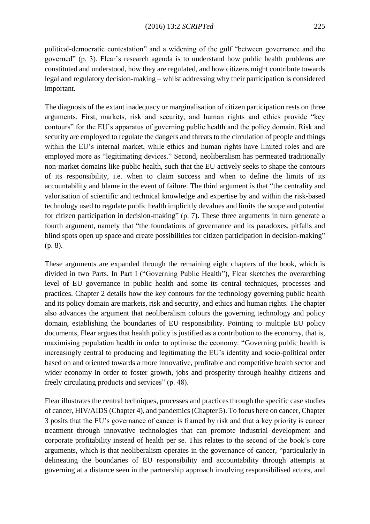political-democratic contestation" and a widening of the gulf "between governance and the governed" (p. 3). Flear's research agenda is to understand how public health problems are constituted and understood, how they are regulated, and how citizens might contribute towards legal and regulatory decision-making – whilst addressing why their participation is considered important.

The diagnosis of the extant inadequacy or marginalisation of citizen participation rests on three arguments. First, markets, risk and security, and human rights and ethics provide "key contours" for the EU's apparatus of governing public health and the policy domain. Risk and security are employed to regulate the dangers and threats to the circulation of people and things within the EU's internal market, while ethics and human rights have limited roles and are employed more as "legitimating devices." Second, neoliberalism has permeated traditionally non-market domains like public health, such that the EU actively seeks to shape the contours of its responsibility, i.e. when to claim success and when to define the limits of its accountability and blame in the event of failure. The third argument is that "the centrality and valorisation of scientific and technical knowledge and expertise by and within the risk-based technology used to regulate public health implicitly devalues and limits the scope and potential for citizen participation in decision-making" (p. 7). These three arguments in turn generate a fourth argument, namely that "the foundations of governance and its paradoxes, pitfalls and blind spots open up space and create possibilities for citizen participation in decision-making" (p. 8).

These arguments are expanded through the remaining eight chapters of the book, which is divided in two Parts. In Part I ("Governing Public Health"), Flear sketches the overarching level of EU governance in public health and some its central techniques, processes and practices. Chapter 2 details how the key contours for the technology governing public health and its policy domain are markets, risk and security, and ethics and human rights. The chapter also advances the argument that neoliberalism colours the governing technology and policy domain, establishing the boundaries of EU responsibility. Pointing to multiple EU policy documents, Flear argues that health policy is justified as a contribution to the economy, that is, maximising population health in order to optimise the economy: "Governing public health is increasingly central to producing and legitimating the EU's identity and socio-political order based on and oriented towards a more innovative, profitable and competitive health sector and wider economy in order to foster growth, jobs and prosperity through healthy citizens and freely circulating products and services" (p. 48).

Flear illustrates the central techniques, processes and practices through the specific case studies of cancer, HIV/AIDS (Chapter 4), and pandemics(Chapter 5). To focus here on cancer, Chapter 3 posits that the EU's governance of cancer is framed by risk and that a key priority is cancer treatment through innovative technologies that can promote industrial development and corporate profitability instead of health per se. This relates to the second of the book's core arguments, which is that neoliberalism operates in the governance of cancer, "particularly in delineating the boundaries of EU responsibility and accountability through attempts at governing at a distance seen in the partnership approach involving responsibilised actors, and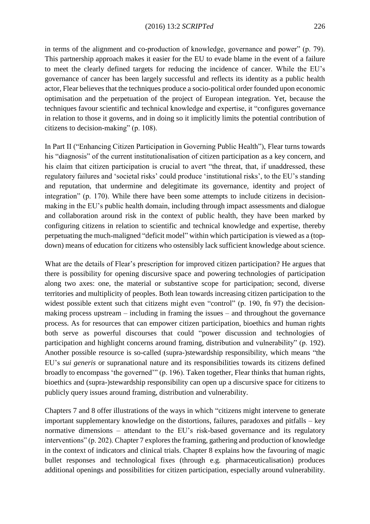in terms of the alignment and co-production of knowledge, governance and power" (p. 79). This partnership approach makes it easier for the EU to evade blame in the event of a failure to meet the clearly defined targets for reducing the incidence of cancer. While the EU's governance of cancer has been largely successful and reflects its identity as a public health actor, Flear believes that the techniques produce a socio-political order founded upon economic optimisation and the perpetuation of the project of European integration. Yet, because the techniques favour scientific and technical knowledge and expertise, it "configures governance in relation to those it governs, and in doing so it implicitly limits the potential contribution of citizens to decision-making" (p. 108).

In Part II ("Enhancing Citizen Participation in Governing Public Health"), Flear turns towards his "diagnosis" of the current institutionalisation of citizen participation as a key concern, and his claim that citizen participation is crucial to avert "the threat, that, if unaddressed, these regulatory failures and 'societal risks' could produce 'institutional risks', to the EU's standing and reputation, that undermine and delegitimate its governance, identity and project of integration" (p. 170). While there have been some attempts to include citizens in decisionmaking in the EU's public health domain, including through impact assessments and dialogue and collaboration around risk in the context of public health, they have been marked by configuring citizens in relation to scientific and technical knowledge and expertise, thereby perpetuating the much-maligned "deficit model" within which participation is viewed as a (topdown) means of education for citizens who ostensibly lack sufficient knowledge about science.

What are the details of Flear's prescription for improved citizen participation? He argues that there is possibility for opening discursive space and powering technologies of participation along two axes: one, the material or substantive scope for participation; second, diverse territories and multiplicity of peoples. Both lean towards increasing citizen participation to the widest possible extent such that citizens might even "control" (p. 190, fn 97) the decisionmaking process upstream – including in framing the issues – and throughout the governance process. As for resources that can empower citizen participation, bioethics and human rights both serve as powerful discourses that could "power discussion and technologies of participation and highlight concerns around framing, distribution and vulnerability" (p. 192). Another possible resource is so-called (supra-)stewardship responsibility, which means "the EU's *sui generis* or supranational nature and its responsibilities towards its citizens defined broadly to encompass 'the governed'" (p. 196). Taken together, Flear thinks that human rights, bioethics and (supra-)stewardship responsibility can open up a discursive space for citizens to publicly query issues around framing, distribution and vulnerability.

Chapters 7 and 8 offer illustrations of the ways in which "citizens might intervene to generate important supplementary knowledge on the distortions, failures, paradoxes and pitfalls – key normative dimensions – attendant to the EU's risk-based governance and its regulatory interventions" (p. 202). Chapter 7 explores the framing, gathering and production of knowledge in the context of indicators and clinical trials. Chapter 8 explains how the favouring of magic bullet responses and technological fixes (through e.g. pharmaceuticalisation) produces additional openings and possibilities for citizen participation, especially around vulnerability.